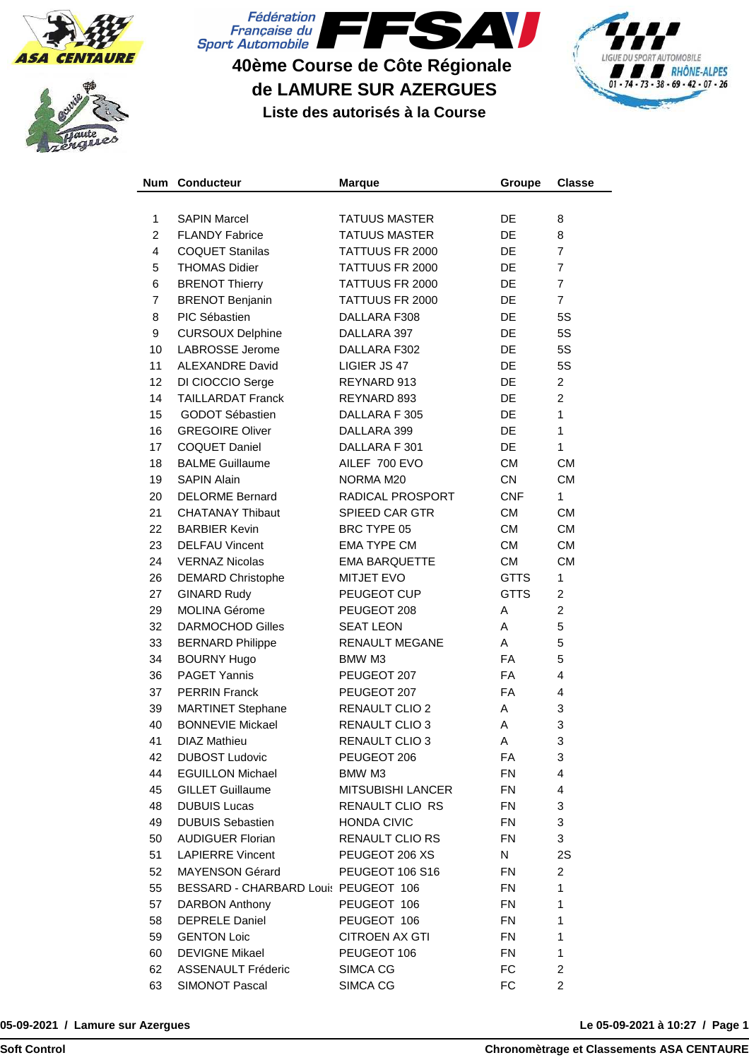





## **40ème Course de Côte Régionale de LAMURE SUR AZERGUES**



**Liste des autorisés à la Course**

| <b>Num</b> | <b>Conducteur</b>                    | <b>Marque</b>            | Groupe      | <b>Classe</b>  |
|------------|--------------------------------------|--------------------------|-------------|----------------|
|            |                                      |                          |             |                |
| 1          | <b>SAPIN Marcel</b>                  | <b>TATUUS MASTER</b>     | DE          | 8              |
| 2          | <b>FLANDY Fabrice</b>                | <b>TATUUS MASTER</b>     | <b>DE</b>   | 8              |
| 4          | <b>COQUET Stanilas</b>               | TATTUUS FR 2000          | DE          | 7              |
| 5          | <b>THOMAS Didier</b>                 | TATTUUS FR 2000          | <b>DE</b>   | $\overline{7}$ |
| 6          | <b>BRENOT Thierry</b>                | TATTUUS FR 2000          | <b>DE</b>   | $\overline{7}$ |
| 7          | <b>BRENOT Benjanin</b>               | TATTUUS FR 2000          | DE          | $\overline{7}$ |
| 8          | PIC Sébastien                        | DALLARA F308             | DE          | 5S             |
| 9          | <b>CURSOUX Delphine</b>              | DALLARA 397              | DE          | 5S             |
| 10         | <b>LABROSSE Jerome</b>               | DALLARA F302             | <b>DE</b>   | 5S             |
| 11         | <b>ALEXANDRE David</b>               | LIGIER JS 47             | <b>DE</b>   | 5S             |
| 12         | DI CIOCCIO Serge                     | REYNARD 913              | DE          | $\overline{2}$ |
| 14         | <b>TAILLARDAT Franck</b>             | REYNARD 893              | DE          | $\overline{2}$ |
| 15         | <b>GODOT Sébastien</b>               | DALLARA F 305            | DE          | $\mathbf{1}$   |
| 16         | <b>GREGOIRE Oliver</b>               | DALLARA 399              | DE          | $\mathbf{1}$   |
| 17         | <b>COQUET Daniel</b>                 | DALLARA F 301            | <b>DE</b>   | $\mathbf{1}$   |
| 18         | <b>BALME Guillaume</b>               | AILEF 700 EVO            | <b>CM</b>   | <b>CM</b>      |
| 19         | <b>SAPIN Alain</b>                   | NORMA M20                | <b>CN</b>   | <b>CM</b>      |
| 20         | <b>DELORME Bernard</b>               | RADICAL PROSPORT         | <b>CNF</b>  | $\mathbf{1}$   |
| 21         | <b>CHATANAY Thibaut</b>              | <b>SPIEED CAR GTR</b>    | <b>CM</b>   | <b>CM</b>      |
| 22         | <b>BARBIER Kevin</b>                 | BRC TYPE 05              | <b>CM</b>   | <b>CM</b>      |
| 23         | <b>DELFAU Vincent</b>                | <b>EMA TYPE CM</b>       | <b>CM</b>   | <b>CM</b>      |
| 24         | <b>VERNAZ Nicolas</b>                | <b>EMA BARQUETTE</b>     | <b>CM</b>   | <b>CM</b>      |
| 26         | <b>DEMARD Christophe</b>             | <b>MITJET EVO</b>        | <b>GTTS</b> | $\mathbf{1}$   |
| 27         | <b>GINARD Rudy</b>                   | PEUGEOT CUP              | <b>GTTS</b> | $\overline{c}$ |
| 29         | <b>MOLINA Gérome</b>                 | PEUGEOT 208              | A           | $\overline{c}$ |
| 32         | <b>DARMOCHOD Gilles</b>              | <b>SEAT LEON</b>         | A           | 5              |
| 33         | <b>BERNARD Philippe</b>              | RENAULT MEGANE           | A           | 5              |
| 34         | <b>BOURNY Hugo</b>                   | BMW M3                   | <b>FA</b>   | 5              |
| 36         | <b>PAGET Yannis</b>                  | PEUGEOT 207              | <b>FA</b>   | $\overline{4}$ |
| 37         | <b>PERRIN Franck</b>                 | PEUGEOT 207              | <b>FA</b>   | $\overline{4}$ |
| 39         | <b>MARTINET Stephane</b>             | <b>RENAULT CLIO 2</b>    | A           | 3              |
| 40         | <b>BONNEVIE Mickael</b>              | <b>RENAULT CLIO 3</b>    | A           | 3              |
| 41         | <b>DIAZ Mathieu</b>                  | RENAULT CLIO 3           | A           | З              |
| 42         | <b>DUBOST Ludovic</b>                | PEUGEOT 206              | FA          | 3              |
| 44         | <b>EGUILLON Michael</b>              | BMW M3                   | <b>FN</b>   | 4              |
| 45         | <b>GILLET Guillaume</b>              | <b>MITSUBISHI LANCER</b> | <b>FN</b>   | 4              |
| 48         | <b>DUBUIS Lucas</b>                  | RENAULT CLIO RS          | <b>FN</b>   | 3              |
| 49         | <b>DUBUIS Sebastien</b>              | <b>HONDA CIVIC</b>       | <b>FN</b>   | 3              |
| 50         | <b>AUDIGUER Florian</b>              | RENAULT CLIO RS          | <b>FN</b>   | 3              |
| 51         | <b>LAPIERRE Vincent</b>              | PEUGEOT 206 XS           | N           | 2S             |
| 52         | MAYENSON Gérard                      | PEUGEOT 106 S16          | <b>FN</b>   | $\overline{2}$ |
| 55         | BESSARD - CHARBARD Louis PEUGEOT 106 |                          | <b>FN</b>   | 1              |
| 57         | DARBON Anthony                       | PEUGEOT 106              | <b>FN</b>   | $\mathbf{1}$   |
| 58         | <b>DEPRELE Daniel</b>                | PEUGEOT 106              | <b>FN</b>   | $\mathbf{1}$   |
| 59         | <b>GENTON Loic</b>                   | <b>CITROEN AX GTI</b>    | <b>FN</b>   | $\mathbf{1}$   |
| 60         | <b>DEVIGNE Mikael</b>                | PEUGEOT 106              | <b>FN</b>   | 1              |
| 62         | <b>ASSENAULT Fréderic</b>            | SIMCA CG                 | FC          | $\overline{c}$ |
| 63         | SIMONOT Pascal                       | SIMCA CG                 | FC          | 2              |

**05-09-2021 / Lamure sur Azergues**